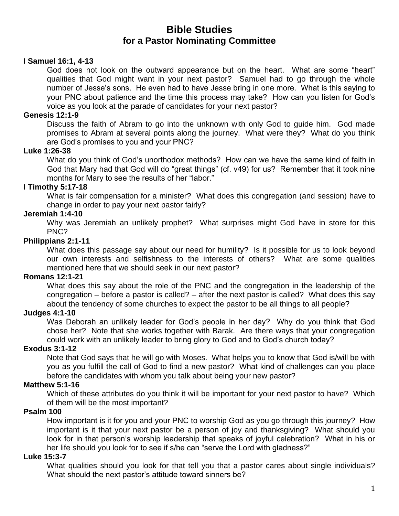# **Bible Studies for a Pastor Nominating Committee**

### **I Samuel 16:1, 4-13**

God does not look on the outward appearance but on the heart. What are some "heart" qualities that God might want in your next pastor? Samuel had to go through the whole number of Jesse's sons. He even had to have Jesse bring in one more. What is this saying to your PNC about patience and the time this process may take? How can you listen for God's voice as you look at the parade of candidates for your next pastor?

### **Genesis 12:1-9**

Discuss the faith of Abram to go into the unknown with only God to guide him. God made promises to Abram at several points along the journey. What were they? What do you think are God's promises to you and your PNC?

### **Luke 1:26-38**

What do you think of God's unorthodox methods? How can we have the same kind of faith in God that Mary had that God will do "great things" (cf. v49) for us? Remember that it took nine months for Mary to see the results of her "labor."

### **I Timothy 5:17-18**

What is fair compensation for a minister? What does this congregation (and session) have to change in order to pay your next pastor fairly?

#### **Jeremiah 1:4-10**

Why was Jeremiah an unlikely prophet? What surprises might God have in store for this PNC?

#### **Philippians 2:1-11**

What does this passage say about our need for humility? Is it possible for us to look beyond our own interests and selfishness to the interests of others? What are some qualities mentioned here that we should seek in our next pastor?

#### **Romans 12:1-21**

What does this say about the role of the PNC and the congregation in the leadership of the congregation – before a pastor is called? – after the next pastor is called? What does this say about the tendency of some churches to expect the pastor to be all things to all people?

### **Judges 4:1-10**

Was Deborah an unlikely leader for God's people in her day? Why do you think that God chose her? Note that she works together with Barak. Are there ways that your congregation could work with an unlikely leader to bring glory to God and to God's church today?

#### **Exodus 3:1-12**

Note that God says that he will go with Moses. What helps you to know that God is/will be with you as you fulfill the call of God to find a new pastor? What kind of challenges can you place before the candidates with whom you talk about being your new pastor?

### **Matthew 5:1-16**

Which of these attributes do you think it will be important for your next pastor to have? Which of them will be the most important?

#### **Psalm 100**

How important is it for you and your PNC to worship God as you go through this journey? How important is it that your next pastor be a person of joy and thanksgiving? What should you look for in that person's worship leadership that speaks of joyful celebration? What in his or her life should you look for to see if s/he can "serve the Lord with gladness?"

#### **Luke 15:3-7**

What qualities should you look for that tell you that a pastor cares about single individuals? What should the next pastor's attitude toward sinners be?